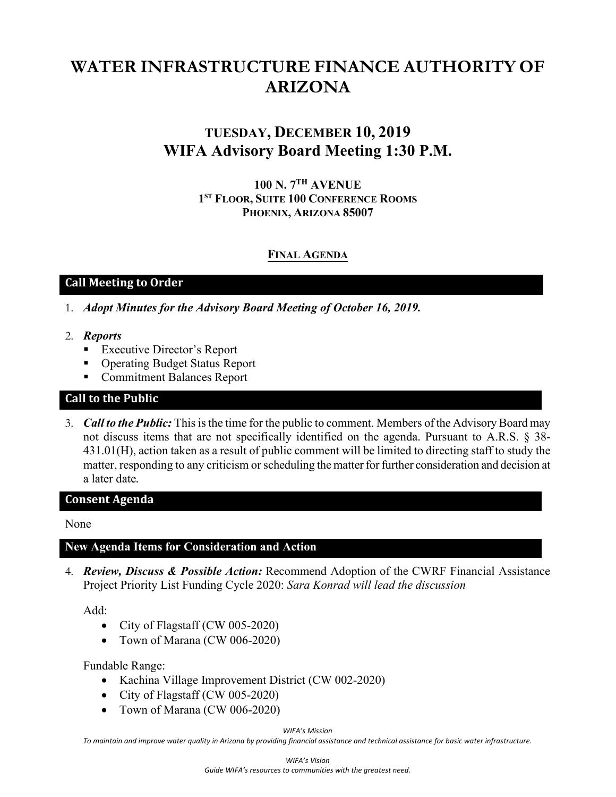# **WATER INFRASTRUCTURE FINANCE AUTHORITY OF ARIZONA**

# **TUESDAY, DECEMBER 10, 2019 WIFA Advisory Board Meeting 1:30 P.M.**

**100 N. 7 TH AVENUE 1 ST FLOOR, SUITE 100 CONFERENCE ROOMS PHOENIX, ARIZONA 85007** 

# **FINAL AGENDA**

## **Call Meeting to Order**

- 1. *Adopt Minutes for the Advisory Board Meeting of October 16, 2019.*
- 2. *Reports*
	- **Executive Director's Report**
	- Operating Budget Status Report
	- **Commitment Balances Report**

### **Call to the Public**

3. *Call to the Public:* This is the time for the public to comment. Members of the Advisory Board may not discuss items that are not specifically identified on the agenda. Pursuant to A.R.S. § 38- 431.01(H), action taken as a result of public comment will be limited to directing staff to study the matter, responding to any criticism or scheduling the matter for further consideration and decision at a later date.

#### **Consent Agenda**

None

#### **New Agenda Items for Consideration and Action**

4. *Review, Discuss & Possible Action:* Recommend Adoption of the CWRF Financial Assistance Project Priority List Funding Cycle 2020: *Sara Konrad will lead the discussion*

Add:

- City of Flagstaff (CW 005-2020)
- Town of Marana (CW 006-2020)

Fundable Range:

- Kachina Village Improvement District (CW 002-2020)
- City of Flagstaff (CW 005-2020)
- Town of Marana (CW 006-2020)

*WIFA's Mission*

*To maintain and improve water quality in Arizona by providing financial assistance and technical assistance for basic water infrastructure.*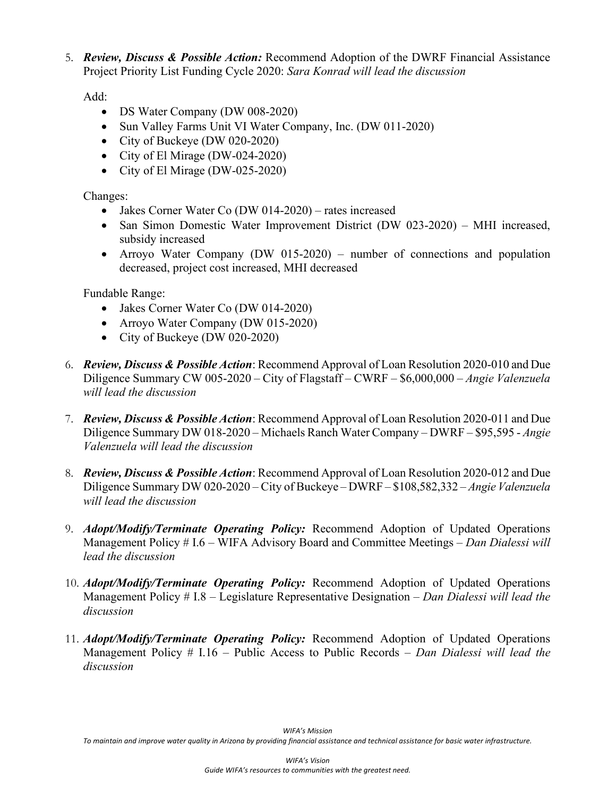5. *Review, Discuss & Possible Action:* Recommend Adoption of the DWRF Financial Assistance Project Priority List Funding Cycle 2020: *Sara Konrad will lead the discussion*

Add:

- DS Water Company (DW 008-2020)
- Sun Valley Farms Unit VI Water Company, Inc. (DW 011-2020)
- City of Buckeye (DW 020-2020)
- City of El Mirage (DW-024-2020)
- City of El Mirage (DW-025-2020)

Changes:

- Jakes Corner Water Co (DW 014-2020) rates increased
- San Simon Domestic Water Improvement District (DW 023-2020) MHI increased, subsidy increased
- Arroyo Water Company (DW 015-2020) number of connections and population decreased, project cost increased, MHI decreased

Fundable Range:

- Jakes Corner Water Co (DW 014-2020)
- Arroyo Water Company (DW 015-2020)
- City of Buckeye (DW 020-2020)
- 6. *Review, Discuss & Possible Action*: Recommend Approval of Loan Resolution 2020-010 and Due Diligence Summary CW 005-2020 – City of Flagstaff – CWRF – \$6,000,000 – *Angie Valenzuela will lead the discussion*
- 7. *Review, Discuss & Possible Action*: Recommend Approval of Loan Resolution 2020-011 and Due Diligence Summary DW 018-2020 – Michaels Ranch Water Company – DWRF – \$95,595 - *Angie Valenzuela will lead the discussion*
- 8. *Review, Discuss & Possible Action*: Recommend Approval of Loan Resolution 2020-012 and Due Diligence Summary DW 020-2020 – City of Buckeye – DWRF – \$108,582,332 – *Angie Valenzuela will lead the discussion*
- 9. *Adopt/Modify/Terminate Operating Policy:* Recommend Adoption of Updated Operations Management Policy # I.6 – WIFA Advisory Board and Committee Meetings *– Dan Dialessi will lead the discussion*
- 10. *Adopt/Modify/Terminate Operating Policy:* Recommend Adoption of Updated Operations Management Policy # I.8 – Legislature Representative Designation *– Dan Dialessi will lead the discussion*
- 11. *Adopt/Modify/Terminate Operating Policy:* Recommend Adoption of Updated Operations Management Policy # I.16 – Public Access to Public Records *– Dan Dialessi will lead the discussion*

*To maintain and improve water quality in Arizona by providing financial assistance and technical assistance for basic water infrastructure.*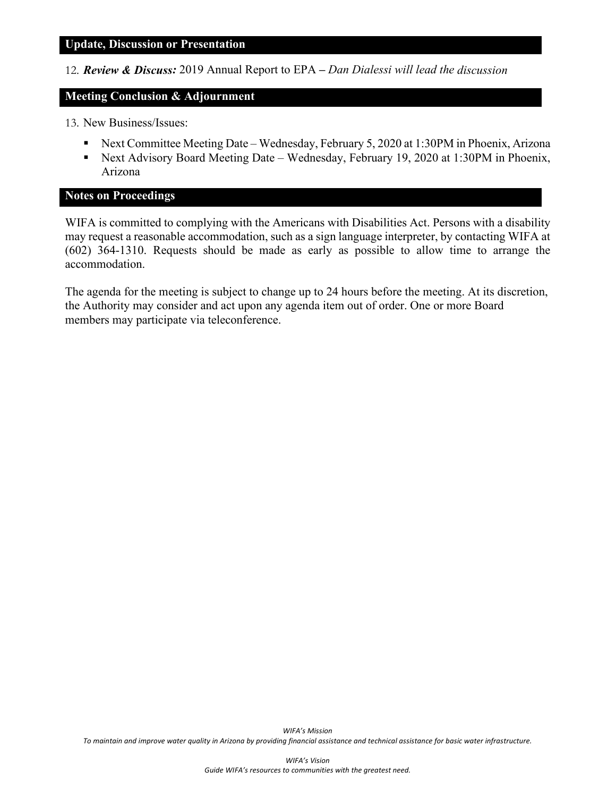#### **Update, Discussion or Presentation**

12. *Review & Discuss:* 2019 Annual Report to EPA *– Dan Dialessi will lead the discussion*

#### **Meeting Conclusion & Adjournment**

- 13. New Business/Issues:
	- Next Committee Meeting Date Wednesday, February 5, 2020 at 1:30PM in Phoenix, Arizona
	- Next Advisory Board Meeting Date Wednesday, February 19, 2020 at 1:30PM in Phoenix, Arizona

#### **Notes on Proceedings**

WIFA is committed to complying with the Americans with Disabilities Act. Persons with a disability may request a reasonable accommodation, such as a sign language interpreter, by contacting WIFA at (602) 364-1310. Requests should be made as early as possible to allow time to arrange the accommodation.

The agenda for the meeting is subject to change up to 24 hours before the meeting. At its discretion, the Authority may consider and act upon any agenda item out of order. One or more Board members may participate via teleconference.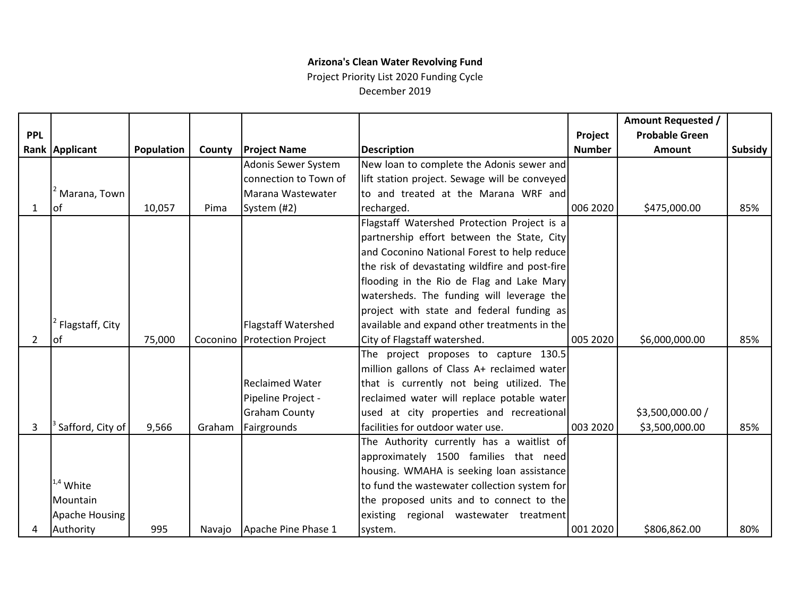# **Arizona's Clean Water Revolving Fund**

Project Priority List 2020 Funding Cycle December 2019

|            |                  |            |        |                             |                                                |               | Amount Requested /    |                |
|------------|------------------|------------|--------|-----------------------------|------------------------------------------------|---------------|-----------------------|----------------|
| <b>PPL</b> |                  |            |        |                             |                                                | Project       | <b>Probable Green</b> |                |
|            | Rank Applicant   | Population | County | <b>Project Name</b>         | <b>Description</b>                             | <b>Number</b> | Amount                | <b>Subsidy</b> |
|            |                  |            |        | Adonis Sewer System         | New loan to complete the Adonis sewer and      |               |                       |                |
|            |                  |            |        | connection to Town of       | lift station project. Sewage will be conveyed  |               |                       |                |
|            | Marana, Town     |            |        | Marana Wastewater           | to and treated at the Marana WRF and           |               |                       |                |
| 1          | lof              | 10,057     | Pima   | System (#2)                 | recharged.                                     | 006 2020      | \$475,000.00          | 85%            |
|            |                  |            |        |                             | Flagstaff Watershed Protection Project is a    |               |                       |                |
|            |                  |            |        |                             | partnership effort between the State, City     |               |                       |                |
|            |                  |            |        |                             | and Coconino National Forest to help reduce    |               |                       |                |
|            |                  |            |        |                             | the risk of devastating wildfire and post-fire |               |                       |                |
|            |                  |            |        |                             | flooding in the Rio de Flag and Lake Mary      |               |                       |                |
|            |                  |            |        |                             | watersheds. The funding will leverage the      |               |                       |                |
|            |                  |            |        |                             | project with state and federal funding as      |               |                       |                |
|            | Flagstaff, City  |            |        | <b>Flagstaff Watershed</b>  | available and expand other treatments in the   |               |                       |                |
| 2          | lof              | 75,000     |        | Coconino Protection Project | City of Flagstaff watershed.                   | 005 2020      | \$6,000,000.00        | 85%            |
|            |                  |            |        |                             | The project proposes to capture 130.5          |               |                       |                |
|            |                  |            |        |                             | million gallons of Class A+ reclaimed water    |               |                       |                |
|            |                  |            |        | <b>Reclaimed Water</b>      | that is currently not being utilized. The      |               |                       |                |
|            |                  |            |        | Pipeline Project -          | reclaimed water will replace potable water     |               |                       |                |
|            |                  |            |        | <b>Graham County</b>        | used at city properties and recreational       |               | \$3,500,000.00 /      |                |
| 3          | Safford, City of | 9,566      | Graham | Fairgrounds                 | facilities for outdoor water use.              | 003 2020      | \$3,500,000.00        | 85%            |
|            |                  |            |        |                             | The Authority currently has a waitlist of      |               |                       |                |
|            |                  |            |        |                             | approximately 1500 families that need          |               |                       |                |
|            |                  |            |        |                             | housing. WMAHA is seeking loan assistance      |               |                       |                |
|            | $1.4$ White      |            |        |                             | to fund the wastewater collection system for   |               |                       |                |
|            | Mountain         |            |        |                             | the proposed units and to connect to the       |               |                       |                |
|            | Apache Housing   |            |        |                             | existing regional wastewater treatment         |               |                       |                |
|            | Authority        | 995        | Navajo | Apache Pine Phase 1         | system.                                        | 001 2020      | \$806,862.00          | 80%            |
|            |                  |            |        |                             |                                                |               |                       |                |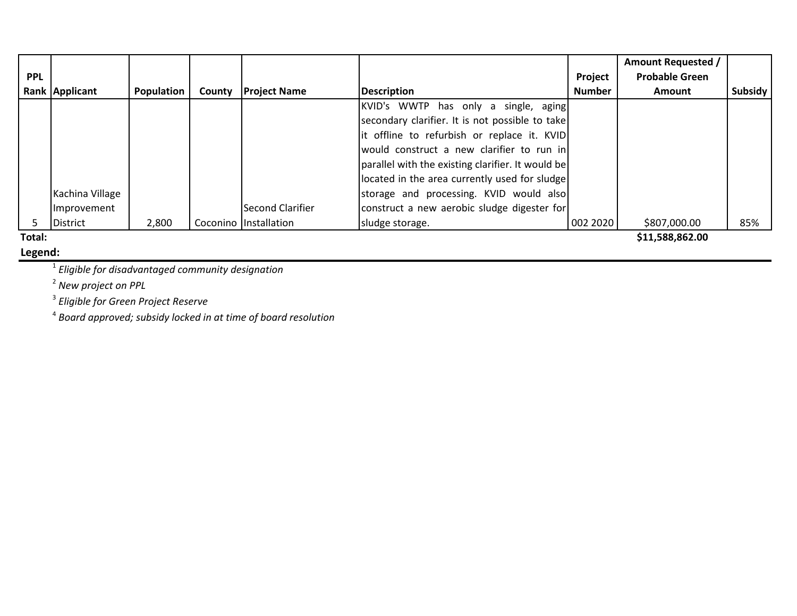|            |                  |            |        |                         |                                                   |               | <b>Amount Requested /</b> |         |
|------------|------------------|------------|--------|-------------------------|---------------------------------------------------|---------------|---------------------------|---------|
| <b>PPL</b> |                  |            |        |                         |                                                   | Project       | <b>Probable Green</b>     |         |
|            | Rank Applicant   | Population | County | <b>Project Name</b>     | <b>Description</b>                                | <b>Number</b> | <b>Amount</b>             | Subsidy |
|            |                  |            |        |                         | KVID's WWTP has only a single, aging              |               |                           |         |
|            |                  |            |        |                         | secondary clarifier. It is not possible to take   |               |                           |         |
|            |                  |            |        |                         | it offline to refurbish or replace it. KVID       |               |                           |         |
|            |                  |            |        |                         | would construct a new clarifier to run in         |               |                           |         |
|            |                  |            |        |                         | parallel with the existing clarifier. It would be |               |                           |         |
|            |                  |            |        |                         | located in the area currently used for sludge     |               |                           |         |
|            | Kachina Village  |            |        |                         | storage and processing. KVID would also           |               |                           |         |
|            | Improvement      |            |        | <b>Second Clarifier</b> | construct a new aerobic sludge digester for       |               |                           |         |
|            | <b>IDistrict</b> | 2,800      |        | Coconino Installation   | sludge storage.                                   | 002 2020      | \$807,000.00              | 85%     |
| Total:     |                  |            |        |                         |                                                   |               | \$11,588,862.00           |         |

**Legend:**

<sup>1</sup> *Eligible for disadvantaged community designation*

<sup>2</sup> *New project on PPL*

<sup>3</sup> *Eligible for Green Project Reserve*

<sup>4</sup> *Board approved; subsidy locked in at time of board resolution*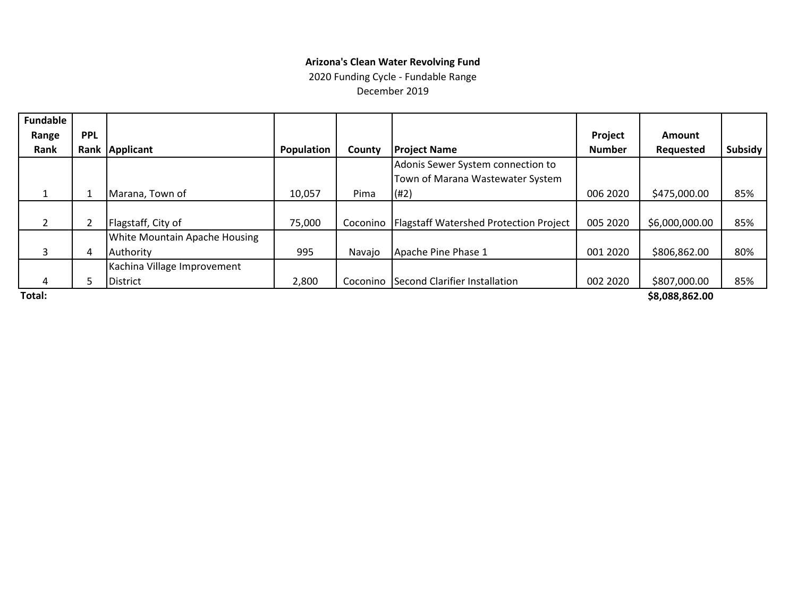#### **Arizona's Clean Water Revolving Fund**

2020 Funding Cycle - Fundable Range

December 2019

| <b>Fundable</b> |            |                                      |            |          |                                               |               |                  |         |
|-----------------|------------|--------------------------------------|------------|----------|-----------------------------------------------|---------------|------------------|---------|
| Range           | <b>PPL</b> |                                      |            |          |                                               | Project       | <b>Amount</b>    |         |
| Rank            |            | Rank Applicant                       | Population | County   | <b>Project Name</b>                           | <b>Number</b> | <b>Requested</b> | Subsidy |
|                 |            |                                      |            |          | Adonis Sewer System connection to             |               |                  |         |
|                 |            |                                      |            |          | Town of Marana Wastewater System              |               |                  |         |
|                 |            | Marana, Town of                      | 10,057     | Pima     | (#2)                                          | 006 2020      | \$475,000.00     | 85%     |
|                 |            |                                      |            |          |                                               |               |                  |         |
| $\overline{2}$  |            | Flagstaff, City of                   | 75,000     | Coconino | <b>Flagstaff Watershed Protection Project</b> | 005 2020      | \$6,000,000.00   | 85%     |
|                 |            | <b>White Mountain Apache Housing</b> |            |          |                                               |               |                  |         |
| 3               | 4          | Authority                            | 995        | Navajo   | Apache Pine Phase 1                           | 001 2020      | \$806,862.00     | 80%     |
|                 |            | Kachina Village Improvement          |            |          |                                               |               |                  |         |
| 4               | 5.         | <b>District</b>                      | 2,800      | Coconino | Second Clarifier Installation                 | 002 2020      | \$807,000.00     | 85%     |
| Total:          |            |                                      |            |          |                                               |               | \$8,088,862.00   |         |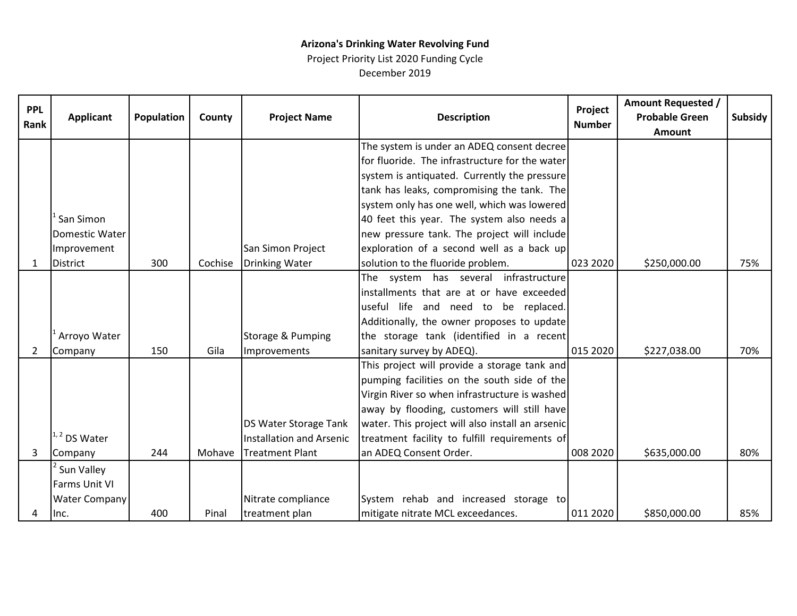### **Arizona's Drinking Water Revolving Fund**

Project Priority List 2020 Funding Cycle December 2019

| <b>PPL</b><br>Rank | <b>Applicant</b>     | Population | County  | <b>Project Name</b>      | <b>Description</b>                               | Project<br><b>Number</b> | <b>Amount Requested /</b><br><b>Probable Green</b><br><b>Amount</b> | <b>Subsidy</b> |
|--------------------|----------------------|------------|---------|--------------------------|--------------------------------------------------|--------------------------|---------------------------------------------------------------------|----------------|
|                    |                      |            |         |                          | The system is under an ADEQ consent decree       |                          |                                                                     |                |
|                    |                      |            |         |                          | for fluoride. The infrastructure for the water   |                          |                                                                     |                |
|                    |                      |            |         |                          | system is antiquated. Currently the pressure     |                          |                                                                     |                |
|                    |                      |            |         |                          | tank has leaks, compromising the tank. The       |                          |                                                                     |                |
|                    |                      |            |         |                          | system only has one well, which was lowered      |                          |                                                                     |                |
|                    | San Simon            |            |         |                          | 40 feet this year. The system also needs a       |                          |                                                                     |                |
|                    | Domestic Water       |            |         |                          | new pressure tank. The project will include      |                          |                                                                     |                |
|                    | Improvement          |            |         | San Simon Project        | exploration of a second well as a back up        |                          |                                                                     |                |
| $\mathbf{1}$       | <b>District</b>      | 300        | Cochise | <b>Drinking Water</b>    | solution to the fluoride problem.                | 023 2020                 | \$250,000.00                                                        | 75%            |
|                    |                      |            |         |                          | The system has several infrastructure            |                          |                                                                     |                |
|                    |                      |            |         |                          | installments that are at or have exceeded        |                          |                                                                     |                |
|                    |                      |            |         |                          | useful life and need to be replaced.             |                          |                                                                     |                |
|                    |                      |            |         |                          | Additionally, the owner proposes to update       |                          |                                                                     |                |
|                    | Arroyo Water         |            |         | Storage & Pumping        | the storage tank (identified in a recent         |                          |                                                                     |                |
| $\overline{2}$     | Company              | 150        | Gila    | Improvements             | sanitary survey by ADEQ).                        | 015 2020                 | \$227,038.00                                                        | 70%            |
|                    |                      |            |         |                          | This project will provide a storage tank and     |                          |                                                                     |                |
|                    |                      |            |         |                          | pumping facilities on the south side of the      |                          |                                                                     |                |
|                    |                      |            |         |                          | Virgin River so when infrastructure is washed    |                          |                                                                     |                |
|                    |                      |            |         |                          | away by flooding, customers will still have      |                          |                                                                     |                |
|                    |                      |            |         | DS Water Storage Tank    | water. This project will also install an arsenic |                          |                                                                     |                |
|                    | $1, 2$ DS Water      |            |         | Installation and Arsenic | treatment facility to fulfill requirements of    |                          |                                                                     |                |
| 3                  | Company              | 244        |         | Mohave Treatment Plant   | an ADEQ Consent Order.                           | 008 2020                 | \$635,000.00                                                        | 80%            |
|                    | Sun Valley           |            |         |                          |                                                  |                          |                                                                     |                |
|                    | Farms Unit VI        |            |         |                          |                                                  |                          |                                                                     |                |
|                    | <b>Water Company</b> |            |         | Nitrate compliance       | System rehab and increased storage to            |                          |                                                                     |                |
| 4                  | Inc.                 | 400        | Pinal   | treatment plan           | mitigate nitrate MCL exceedances.                | 011 2020                 | \$850,000.00                                                        | 85%            |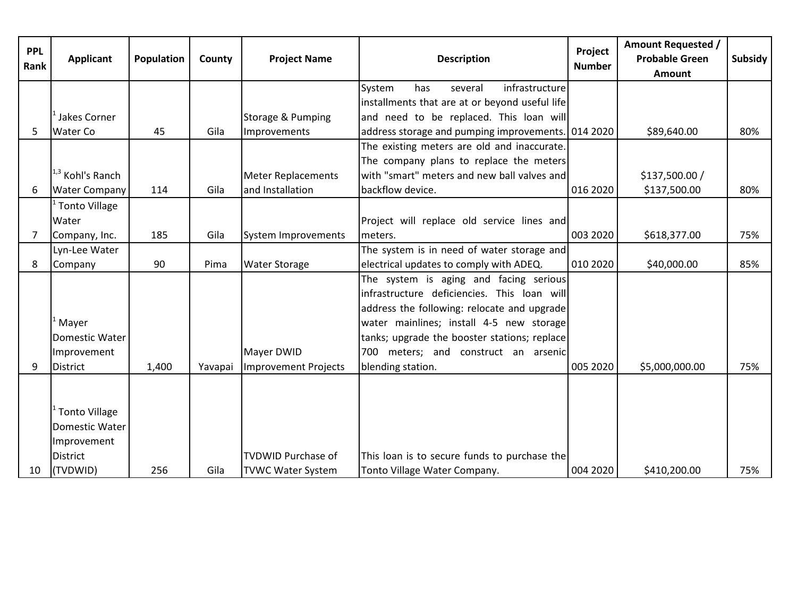| <b>PPL</b><br>Rank | <b>Applicant</b>            | <b>Population</b> | County  | <b>Project Name</b>         | <b>Description</b>                                 | Project<br><b>Number</b> | <b>Amount Requested /</b><br><b>Probable Green</b><br>Amount | Subsidy |
|--------------------|-----------------------------|-------------------|---------|-----------------------------|----------------------------------------------------|--------------------------|--------------------------------------------------------------|---------|
|                    |                             |                   |         |                             | infrastructure<br>System<br>has<br>several         |                          |                                                              |         |
|                    |                             |                   |         |                             | installments that are at or beyond useful life     |                          |                                                              |         |
|                    | Jakes Corner                |                   |         | Storage & Pumping           | and need to be replaced. This loan will            |                          |                                                              |         |
| 5                  | Water Co                    | 45                | Gila    | Improvements                | address storage and pumping improvements. 014 2020 |                          | \$89,640.00                                                  | 80%     |
|                    |                             |                   |         |                             | The existing meters are old and inaccurate.        |                          |                                                              |         |
|                    |                             |                   |         |                             | The company plans to replace the meters            |                          |                                                              |         |
|                    | <sup>1,3</sup> Kohl's Ranch |                   |         | <b>Meter Replacements</b>   | with "smart" meters and new ball valves and        |                          | \$137,500.00 /                                               |         |
| 6                  | <b>Water Company</b>        | 114               | Gila    | and Installation            | backflow device.                                   | 016 2020                 | \$137,500.00                                                 | 80%     |
|                    | Tonto Village               |                   |         |                             |                                                    |                          |                                                              |         |
|                    | Water                       |                   |         |                             | Project will replace old service lines and         |                          |                                                              |         |
| $\overline{7}$     | Company, Inc.               | 185               | Gila    | System Improvements         | meters.                                            | 003 2020                 | \$618,377.00                                                 | 75%     |
|                    | Lyn-Lee Water               |                   |         |                             | The system is in need of water storage and         |                          |                                                              |         |
| 8                  | Company                     | 90                | Pima    | <b>Water Storage</b>        | electrical updates to comply with ADEQ.            | 010 2020                 | \$40,000.00                                                  | 85%     |
|                    |                             |                   |         |                             | The system is aging and facing serious             |                          |                                                              |         |
|                    |                             |                   |         |                             | infrastructure deficiencies. This loan will        |                          |                                                              |         |
|                    |                             |                   |         |                             | address the following: relocate and upgrade        |                          |                                                              |         |
|                    | <sup>L</sup> Mayer          |                   |         |                             | water mainlines; install 4-5 new storage           |                          |                                                              |         |
|                    | Domestic Water              |                   |         |                             | tanks; upgrade the booster stations; replace       |                          |                                                              |         |
|                    | Improvement                 |                   |         | Mayer DWID                  | 700 meters; and construct an arsenic               |                          |                                                              |         |
| 9                  | District                    | 1,400             | Yavapai | <b>Improvement Projects</b> | blending station.                                  | 005 2020                 | \$5,000,000.00                                               | 75%     |
|                    |                             |                   |         |                             |                                                    |                          |                                                              |         |
|                    |                             |                   |         |                             |                                                    |                          |                                                              |         |
|                    | <sup>1</sup> Tonto Village  |                   |         |                             |                                                    |                          |                                                              |         |
|                    | Domestic Water              |                   |         |                             |                                                    |                          |                                                              |         |
|                    | Improvement                 |                   |         |                             |                                                    |                          |                                                              |         |
|                    | District                    |                   |         | <b>TVDWID Purchase of</b>   | This loan is to secure funds to purchase the       |                          |                                                              |         |
| 10                 | (TVDWID)                    | 256               | Gila    | <b>TVWC Water System</b>    | Tonto Village Water Company.                       | 004 2020                 | \$410,200.00                                                 | 75%     |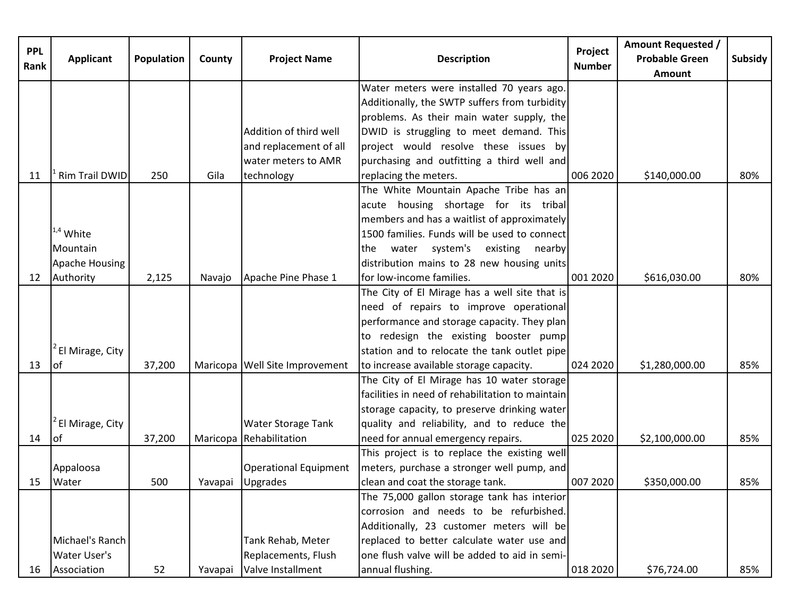|            |                     |            |         |                                |                                                  |                          | <b>Amount Requested /</b> |         |
|------------|---------------------|------------|---------|--------------------------------|--------------------------------------------------|--------------------------|---------------------------|---------|
| <b>PPL</b> | <b>Applicant</b>    | Population | County  | <b>Project Name</b>            | <b>Description</b>                               | Project<br><b>Number</b> | <b>Probable Green</b>     | Subsidy |
| Rank       |                     |            |         |                                |                                                  |                          | <b>Amount</b>             |         |
|            |                     |            |         |                                | Water meters were installed 70 years ago.        |                          |                           |         |
|            |                     |            |         |                                | Additionally, the SWTP suffers from turbidity    |                          |                           |         |
|            |                     |            |         |                                | problems. As their main water supply, the        |                          |                           |         |
|            |                     |            |         | Addition of third well         | DWID is struggling to meet demand. This          |                          |                           |         |
|            |                     |            |         | and replacement of all         | project would resolve these issues by            |                          |                           |         |
|            |                     |            |         | water meters to AMR            | purchasing and outfitting a third well and       |                          |                           |         |
| 11         | Rim Trail DWID      | 250        | Gila    | technology                     | replacing the meters.                            | 006 2020                 | \$140,000.00              | 80%     |
|            |                     |            |         |                                | The White Mountain Apache Tribe has an           |                          |                           |         |
|            |                     |            |         |                                | acute housing shortage for its tribal            |                          |                           |         |
|            |                     |            |         |                                | members and has a waitlist of approximately      |                          |                           |         |
|            | $1.4$ White         |            |         |                                | 1500 families. Funds will be used to connect     |                          |                           |         |
|            | Mountain            |            |         |                                | water system's existing nearby<br>the            |                          |                           |         |
|            | Apache Housing      |            |         |                                | distribution mains to 28 new housing units       |                          |                           |         |
| 12         | Authority           | 2,125      | Navajo  | Apache Pine Phase 1            | for low-income families.                         | 001 2020                 | \$616,030.00              | 80%     |
|            |                     |            |         |                                | The City of El Mirage has a well site that is    |                          |                           |         |
|            |                     |            |         |                                | need of repairs to improve operational           |                          |                           |         |
|            |                     |            |         |                                | performance and storage capacity. They plan      |                          |                           |         |
|            |                     |            |         |                                | to redesign the existing booster pump            |                          |                           |         |
|            | El Mirage, City     |            |         |                                | station and to relocate the tank outlet pipe     |                          |                           |         |
| 13         | lof                 | 37,200     |         | Maricopa Well Site Improvement | to increase available storage capacity.          | 024 2020                 | \$1,280,000.00            | 85%     |
|            |                     |            |         |                                | The City of El Mirage has 10 water storage       |                          |                           |         |
|            |                     |            |         |                                | facilities in need of rehabilitation to maintain |                          |                           |         |
|            |                     |            |         |                                | storage capacity, to preserve drinking water     |                          |                           |         |
|            | El Mirage, City     |            |         | <b>Water Storage Tank</b>      | quality and reliability, and to reduce the       |                          |                           |         |
| 14         | lof                 | 37,200     |         | Maricopa Rehabilitation        | need for annual emergency repairs.               | 025 2020                 | \$2,100,000.00            | 85%     |
|            |                     |            |         |                                | This project is to replace the existing well     |                          |                           |         |
|            | Appaloosa           |            |         | Operational Equipment          | meters, purchase a stronger well pump, and       |                          |                           |         |
|            | 15 Water            | 500        |         | Yavapai Upgrades               | clean and coat the storage tank.                 | 007 2020                 | \$350,000.00              | 85%     |
|            |                     |            |         |                                | The 75,000 gallon storage tank has interior      |                          |                           |         |
|            |                     |            |         |                                | corrosion and needs to be refurbished.           |                          |                           |         |
|            |                     |            |         |                                | Additionally, 23 customer meters will be         |                          |                           |         |
|            | Michael's Ranch     |            |         | Tank Rehab, Meter              | replaced to better calculate water use and       |                          |                           |         |
|            | <b>Water User's</b> |            |         | Replacements, Flush            | one flush valve will be added to aid in semi-    |                          |                           |         |
| 16         | Association         | 52         | Yavapai | Valve Installment              | annual flushing.                                 | 018 2020                 | \$76,724.00               | 85%     |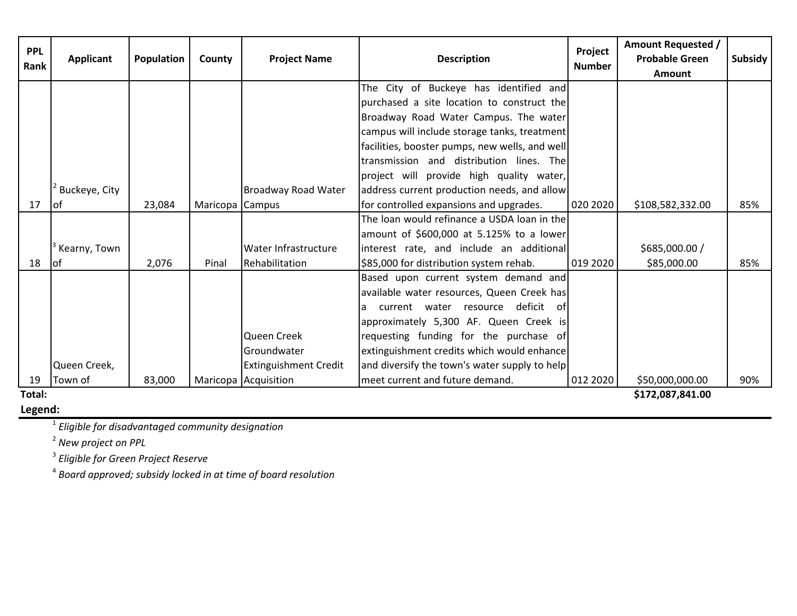| <b>PPL</b><br>Rank | <b>Applicant</b> | <b>Population</b> | County          | <b>Project Name</b>          | <b>Description</b>                             | Project<br><b>Number</b> | <b>Amount Requested /</b><br><b>Probable Green</b><br><b>Amount</b> | <b>Subsidy</b> |
|--------------------|------------------|-------------------|-----------------|------------------------------|------------------------------------------------|--------------------------|---------------------------------------------------------------------|----------------|
|                    |                  |                   |                 |                              | The City of Buckeye has identified and         |                          |                                                                     |                |
|                    |                  |                   |                 |                              | purchased a site location to construct the     |                          |                                                                     |                |
|                    |                  |                   |                 |                              | Broadway Road Water Campus. The water          |                          |                                                                     |                |
|                    |                  |                   |                 |                              | campus will include storage tanks, treatment   |                          |                                                                     |                |
|                    |                  |                   |                 |                              | facilities, booster pumps, new wells, and well |                          |                                                                     |                |
|                    |                  |                   |                 |                              | transmission and distribution lines. The       |                          |                                                                     |                |
|                    |                  |                   |                 |                              | project will provide high quality water,       |                          |                                                                     |                |
|                    | Buckeye, City    |                   |                 | Broadway Road Water          | address current production needs, and allow    |                          |                                                                     |                |
| 17                 | lof              | 23,084            | Maricopa Campus |                              | for controlled expansions and upgrades.        | 020 2020                 | \$108,582,332.00                                                    | 85%            |
|                    |                  |                   |                 |                              | The loan would refinance a USDA loan in the    |                          |                                                                     |                |
|                    |                  |                   |                 |                              | amount of \$600,000 at 5.125% to a lower       |                          |                                                                     |                |
|                    | Kearny, Town     |                   |                 | Water Infrastructure         | interest rate, and include an additional       |                          | \$685,000.00 /                                                      |                |
| 18                 | lof              | 2,076             | Pinal           | Rehabilitation               | \$85,000 for distribution system rehab.        | 019 2020                 | \$85,000.00                                                         | 85%            |
|                    |                  |                   |                 |                              | Based upon current system demand and           |                          |                                                                     |                |
|                    |                  |                   |                 |                              | available water resources, Queen Creek has     |                          |                                                                     |                |
|                    |                  |                   |                 |                              | current water resource deficit of<br>a         |                          |                                                                     |                |
|                    |                  |                   |                 |                              | approximately 5,300 AF. Queen Creek is         |                          |                                                                     |                |
|                    |                  |                   |                 | Queen Creek                  | requesting funding for the purchase of         |                          |                                                                     |                |
|                    |                  |                   |                 | Groundwater                  | extinguishment credits which would enhance     |                          |                                                                     |                |
|                    | Queen Creek,     |                   |                 | <b>Extinguishment Credit</b> | and diversify the town's water supply to help  |                          |                                                                     |                |
| 19                 | Town of          | 83,000            |                 | Maricopa Acquisition         | meet current and future demand.                | 012 2020                 | \$50,000,000.00                                                     | 90%            |
| Total:             |                  |                   |                 |                              |                                                |                          | \$172,087,841.00                                                    |                |

# **Legend:**

**\$172,087,841.00** 

<sup>1</sup> *Eligible for disadvantaged community designation*

<sup>2</sup> *New project on PPL*

<sup>3</sup> *Eligible for Green Project Reserve*

<sup>4</sup> *Board approved; subsidy locked in at time of board resolution*